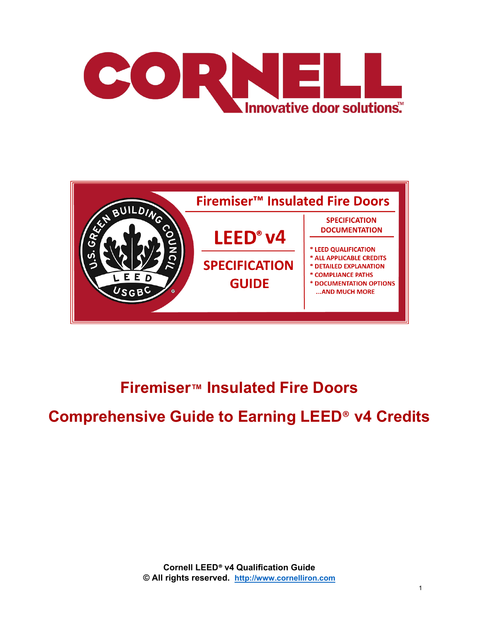



## **Firemiser™ Insulated Fire Doors**

## **Comprehensive Guide to Earning LEED**® **v4 Credits**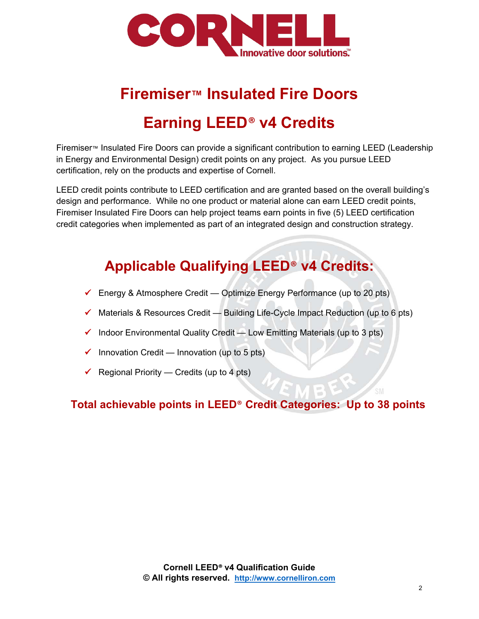

# **Firemiser™ Insulated Fire Doors Earning LEED**® **v4 Credits**

Firemiser™ Insulated Fire Doors can provide a significant contribution to earning LEED (Leadership in Energy and Environmental Design) credit points on any project. As you pursue LEED certification, rely on the products and expertise of Cornell.

LEED credit points contribute to LEED certification and are granted based on the overall building's design and performance. While no one product or material alone can earn LEED credit points, Firemiser Insulated Fire Doors can help project teams earn points in five (5) LEED certification credit categories when implemented as part of an integrated design and construction strategy.

## **Applicable Qualifying LEED**® **v4 Credits:**

- $\checkmark$  Energy & Atmosphere Credit Optimize Energy Performance (up to 20 pts)
- $\checkmark$  Materials & Resources Credit Building Life-Cycle Impact Reduction (up to 6 pts)
- $\checkmark$  Indoor Environmental Quality Credit Low Emitting Materials (up to 3 pts)
- $\checkmark$  Innovation Credit Innovation (up to 5 pts)
- $\checkmark$  Regional Priority Credits (up to 4 pts)

## **Total achievable points in LEED**® **Credit Categories: Up to 38 points**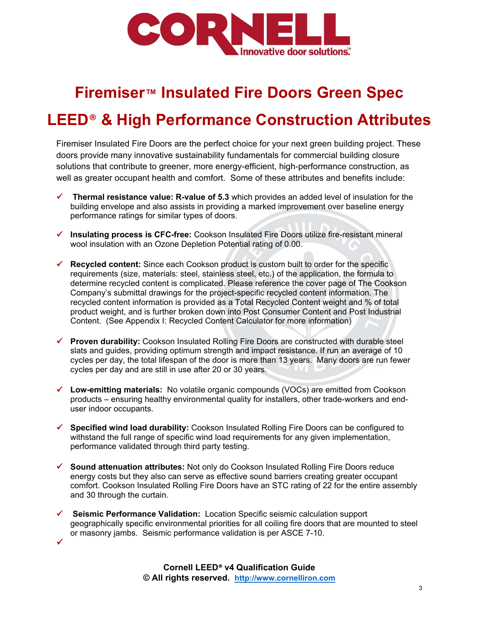

## **Firemiser™ Insulated Fire Doors Green Spec**

## **LEED**® **& High Performance Construction Attributes**

Firemiser Insulated Fire Doors are the perfect choice for your next green building project. These doors provide many innovative sustainability fundamentals for commercial building closure solutions that contribute to greener, more energy-efficient, high-performance construction, as well as greater occupant health and comfort. Some of these attributes and benefits include:

- **Thermal resistance value: R-value of 5.3** which provides an added level of insulation for the building envelope and also assists in providing a marked improvement over baseline energy performance ratings for similar types of doors.
- **Insulating process is CFC-free:** Cookson Insulated Fire Doors utilize fire-resistant mineral wool insulation with an Ozone Depletion Potential rating of 0.00.
- **Recycled content:** Since each Cookson product is custom built to order for the specific requirements (size, materials: steel, stainless steel, etc.) of the application, the formula to determine recycled content is complicated. Please reference the cover page of The Cookson Company's submittal drawings for the project-specific recycled content information. The recycled content information is provided as a Total Recycled Content weight and % of total product weight, and is further broken down into Post Consumer Content and Post Industrial Content. (See Appendix I: Recycled Content Calculator for more information)
- **Proven durability:** Cookson Insulated Rolling Fire Doors are constructed with durable steel slats and guides, providing optimum strength and impact resistance. If run an average of 10 cycles per day, the total lifespan of the door is more than 13 years. Many doors are run fewer cycles per day and are still in use after 20 or 30 years.
- **Low-emitting materials:** No volatile organic compounds (VOCs) are emitted from Cookson products – ensuring healthy environmental quality for installers, other trade-workers and enduser indoor occupants.
- **Specified wind load durability:** Cookson Insulated Rolling Fire Doors can be configured to withstand the full range of specific wind load requirements for any given implementation, performance validated through third party testing.
- **Sound attenuation attributes:** Not only do Cookson Insulated Rolling Fire Doors reduce energy costs but they also can serve as effective sound barriers creating greater occupant comfort. Cookson Insulated Rolling Fire Doors have an STC rating of 22 for the entire assembly and 30 through the curtain.
- **Seismic Performance Validation:** Location Specific seismic calculation support geographically specific environmental priorities for all coiling fire doors that are mounted to steel or masonry jambs. Seismic performance validation is per ASCE 7-10.

 $\checkmark$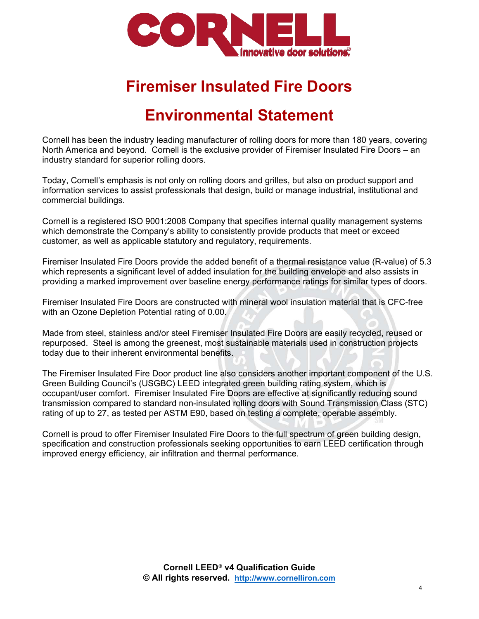

## **Firemiser Insulated Fire Doors**

## **Environmental Statement**

Cornell has been the industry leading manufacturer of rolling doors for more than 180 years, covering North America and beyond. Cornell is the exclusive provider of Firemiser Insulated Fire Doors – an industry standard for superior rolling doors.

Today, Cornell's emphasis is not only on rolling doors and grilles, but also on product support and information services to assist professionals that design, build or manage industrial, institutional and commercial buildings.

Cornell is a registered ISO 9001:2008 Company that specifies internal quality management systems which demonstrate the Company's ability to consistently provide products that meet or exceed customer, as well as applicable statutory and regulatory, requirements.

Firemiser Insulated Fire Doors provide the added benefit of a thermal resistance value (R-value) of 5.3 which represents a significant level of added insulation for the building envelope and also assists in providing a marked improvement over baseline energy performance ratings for similar types of doors.

Firemiser Insulated Fire Doors are constructed with mineral wool insulation material that is CFC-free with an Ozone Depletion Potential rating of 0.00.

Made from steel, stainless and/or steel Firemiser Insulated Fire Doors are easily recycled, reused or repurposed. Steel is among the greenest, most sustainable materials used in construction projects today due to their inherent environmental benefits.

The Firemiser Insulated Fire Door product line also considers another important component of the U.S. Green Building Council's (USGBC) LEED integrated green building rating system, which is occupant/user comfort. Firemiser Insulated Fire Doors are effective at significantly reducing sound transmission compared to standard non-insulated rolling doors with Sound Transmission Class (STC) rating of up to 27, as tested per ASTM E90, based on testing a complete, operable assembly.

Cornell is proud to offer Firemiser Insulated Fire Doors to the full spectrum of green building design, specification and construction professionals seeking opportunities to earn LEED certification through improved energy efficiency, air infiltration and thermal performance.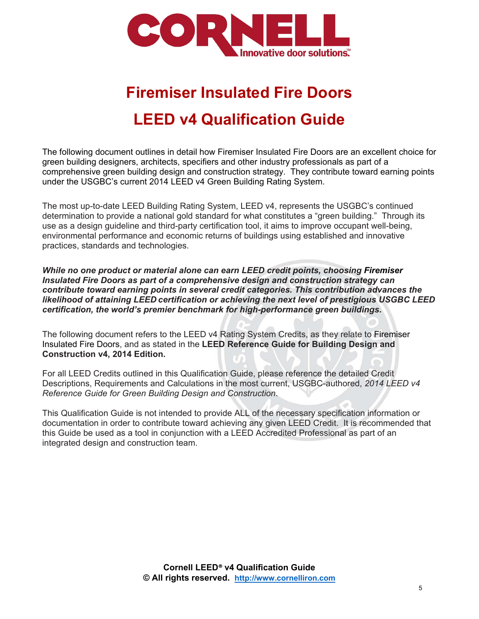

# **Firemiser Insulated Fire Doors LEED v4 Qualification Guide**

The following document outlines in detail how Firemiser Insulated Fire Doors are an excellent choice for green building designers, architects, specifiers and other industry professionals as part of a comprehensive green building design and construction strategy. They contribute toward earning points under the USGBC's current 2014 LEED v4 Green Building Rating System.

The most up-to-date LEED Building Rating System, LEED v4, represents the USGBC's continued determination to provide a national gold standard for what constitutes a "green building." Through its use as a design guideline and third-party certification tool, it aims to improve occupant well-being, environmental performance and economic returns of buildings using established and innovative practices, standards and technologies.

*While no one product or material alone can earn LEED credit points, choosing Firemiser Insulated Fire Doors as part of a comprehensive design and construction strategy can contribute toward earning points in several credit categories. This contribution advances the likelihood of attaining LEED certification or achieving the next level of prestigious USGBC LEED certification, the world's premier benchmark for high-performance green buildings***.**

The following document refers to the LEED v4 Rating System Credits, as they relate to Firemiser Insulated Fire Doors, and as stated in the **LEED Reference Guide for Building Design and Construction v4, 2014 Edition.**

For all LEED Credits outlined in this Qualification Guide, please reference the detailed Credit Descriptions, Requirements and Calculations in the most current, USGBC-authored, *2014 LEED v4 Reference Guide for Green Building Design and Construction*.

This Qualification Guide is not intended to provide ALL of the necessary specification information or documentation in order to contribute toward achieving any given LEED Credit. It is recommended that this Guide be used as a tool in conjunction with a LEED Accredited Professional as part of an integrated design and construction team.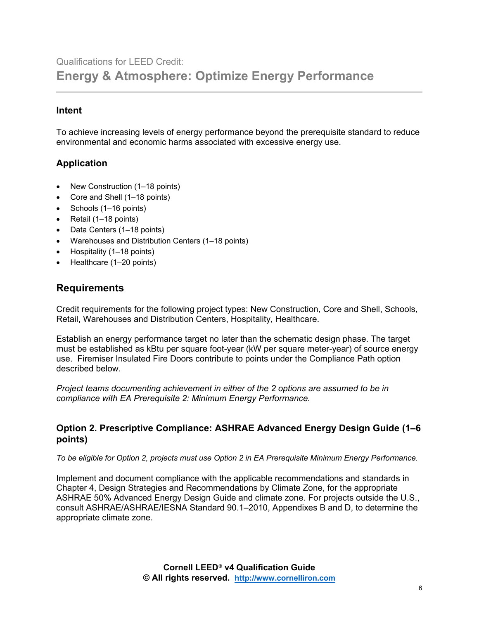## Qualifications for LEED Credit: **Energy & Atmosphere: Optimize Energy Performance**

#### **Intent**

To achieve increasing levels of energy performance beyond the prerequisite standard to reduce environmental and economic harms associated with excessive energy use.

#### **Application**

- New Construction (1–18 points)
- Core and Shell (1–18 points)
- Schools (1–16 points)
- Retail (1–18 points)
- Data Centers (1–18 points)
- Warehouses and Distribution Centers (1–18 points)
- Hospitality (1–18 points)
- Healthcare (1-20 points)

#### **Requirements**

Credit requirements for the following project types: New Construction, Core and Shell, Schools, Retail, Warehouses and Distribution Centers, Hospitality, Healthcare.

Establish an energy performance target no later than the schematic design phase. The target must be established as kBtu per square foot-year (kW per square meter-year) of source energy use. Firemiser Insulated Fire Doors contribute to points under the Compliance Path option described below.

*Project teams documenting achievement in either of the 2 options are assumed to be in compliance with EA Prerequisite 2: Minimum Energy Performance.*

#### **Option 2. Prescriptive Compliance: ASHRAE Advanced Energy Design Guide (1–6 points)**

*To be eligible for Option 2, projects must use Option 2 in EA Prerequisite Minimum Energy Performance.*

Implement and document compliance with the applicable recommendations and standards in Chapter 4, Design Strategies and Recommendations by Climate Zone, for the appropriate ASHRAE 50% Advanced Energy Design Guide and climate zone. For projects outside the U.S., consult ASHRAE/ASHRAE/IESNA Standard 90.1–2010, Appendixes B and D, to determine the appropriate climate zone.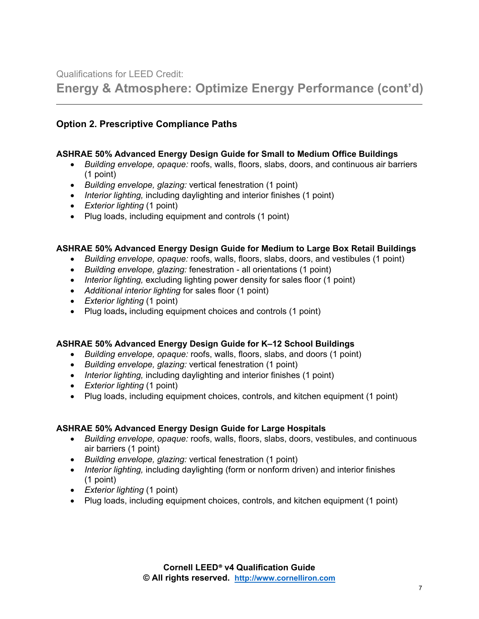Qualifications for LEED Credit:

**Energy & Atmosphere: Optimize Energy Performance (cont'd)**

#### **Option 2. Prescriptive Compliance Paths**

#### **ASHRAE 50% Advanced Energy Design Guide for Small to Medium Office Buildings**

- *Building envelope, opaque:* roofs, walls, floors, slabs, doors, and continuous air barriers (1 point)
- *Building envelope, glazing:* vertical fenestration (1 point)
- *Interior lighting,* including daylighting and interior finishes (1 point)
- *Exterior lighting* (1 point)
- Plug loads, including equipment and controls (1 point)

#### **ASHRAE 50% Advanced Energy Design Guide for Medium to Large Box Retail Buildings**

- *Building envelope, opaque:* roofs, walls, floors, slabs, doors, and vestibules (1 point)
- *Building envelope, glazing:* fenestration all orientations (1 point)
- *Interior lighting,* excluding lighting power density for sales floor (1 point)
- *Additional interior lighting* for sales floor (1 point)
- *Exterior lighting* (1 point)
- Plug loads**,** including equipment choices and controls (1 point)

#### **ASHRAE 50% Advanced Energy Design Guide for K–12 School Buildings**

- *Building envelope, opaque:* roofs, walls, floors, slabs, and doors (1 point)
- *Building envelope, glazing:* vertical fenestration (1 point)
- *Interior lighting,* including daylighting and interior finishes (1 point)
- *Exterior lighting* (1 point)
- Plug loads, including equipment choices, controls, and kitchen equipment (1 point)

#### **ASHRAE 50% Advanced Energy Design Guide for Large Hospitals**

- *Building envelope, opaque:* roofs, walls, floors, slabs, doors, vestibules, and continuous air barriers (1 point)
- *Building envelope, glazing:* vertical fenestration (1 point)
- *Interior lighting,* including daylighting (form or nonform driven) and interior finishes (1 point)
- *Exterior lighting* (1 point)
- Plug loads, including equipment choices, controls, and kitchen equipment (1 point)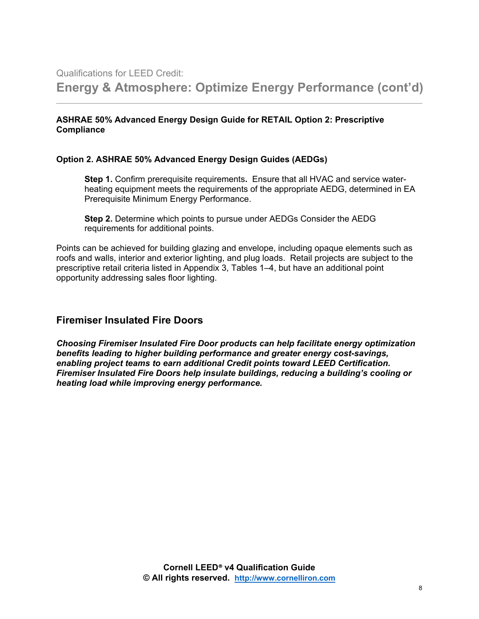#### **ASHRAE 50% Advanced Energy Design Guide for RETAIL Option 2: Prescriptive Compliance**

#### **Option 2. ASHRAE 50% Advanced Energy Design Guides (AEDGs)**

**Step 1.** Confirm prerequisite requirements**.** Ensure that all HVAC and service waterheating equipment meets the requirements of the appropriate AEDG, determined in EA Prerequisite Minimum Energy Performance.

**Step 2.** Determine which points to pursue under AEDGs Consider the AEDG requirements for additional points.

Points can be achieved for building glazing and envelope, including opaque elements such as roofs and walls, interior and exterior lighting, and plug loads. Retail projects are subject to the prescriptive retail criteria listed in Appendix 3, Tables 1–4, but have an additional point opportunity addressing sales floor lighting.

#### **Firemiser Insulated Fire Doors**

*Choosing Firemiser Insulated Fire Door products can help facilitate energy optimization benefits leading to higher building performance and greater energy cost-savings, enabling project teams to earn additional Credit points toward LEED Certification.**Firemiser Insulated Fire Doors help insulate buildings, reducing a building's cooling or heating load while improving energy performance.*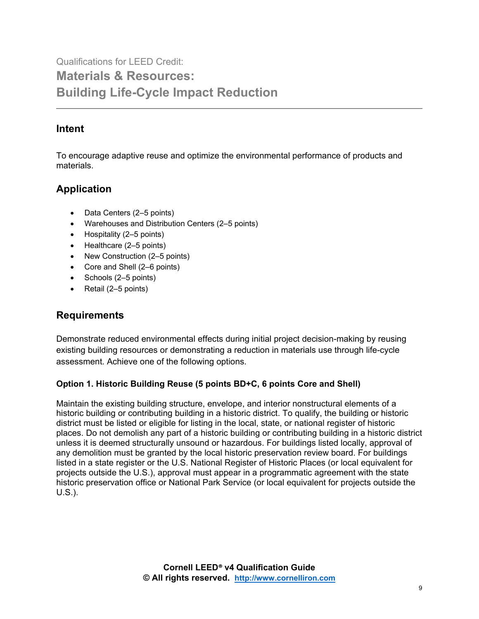Qualifications for LEED Credit: **Materials & Resources: Building Life-Cycle Impact Reduction** 

## **Intent**

To encourage adaptive reuse and optimize the environmental performance of products and materials.

## **Application**

- Data Centers (2–5 points)
- Warehouses and Distribution Centers (2–5 points)
- Hospitality (2–5 points)
- Healthcare (2–5 points)
- New Construction (2–5 points)
- Core and Shell (2–6 points)
- Schools (2–5 points)
- Retail (2–5 points)

## **Requirements**

Demonstrate reduced environmental effects during initial project decision-making by reusing existing building resources or demonstrating a reduction in materials use through life-cycle assessment. Achieve one of the following options.

#### **Option 1. Historic Building Reuse (5 points BD+C, 6 points Core and Shell)**

Maintain the existing building structure, envelope, and interior nonstructural elements of a historic building or contributing building in a historic district. To qualify, the building or historic district must be listed or eligible for listing in the local, state, or national register of historic places. Do not demolish any part of a historic building or contributing building in a historic district unless it is deemed structurally unsound or hazardous. For buildings listed locally, approval of any demolition must be granted by the local historic preservation review board. For buildings listed in a state register or the U.S. National Register of Historic Places (or local equivalent for projects outside the U.S.), approval must appear in a programmatic agreement with the state historic preservation office or National Park Service (or local equivalent for projects outside the U.S.).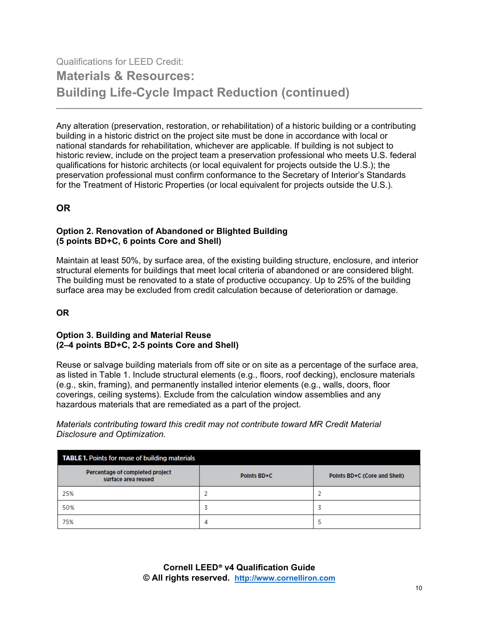## Qualifications for LEED Credit: **Materials & Resources: Building Life-Cycle Impact Reduction (continued)**

Any alteration (preservation, restoration, or rehabilitation) of a historic building or a contributing building in a historic district on the project site must be done in accordance with local or national standards for rehabilitation, whichever are applicable. If building is not subject to historic review, include on the project team a preservation professional who meets U.S. federal qualifications for historic architects (or local equivalent for projects outside the U.S.); the preservation professional must confirm conformance to the Secretary of Interior's Standards for the Treatment of Historic Properties (or local equivalent for projects outside the U.S.).

#### **OR**

#### **Option 2. Renovation of Abandoned or Blighted Building (5 points BD+C, 6 points Core and Shell)**

Maintain at least 50%, by surface area, of the existing building structure, enclosure, and interior structural elements for buildings that meet local criteria of abandoned or are considered blight. The building must be renovated to a state of productive occupancy. Up to 25% of the building surface area may be excluded from credit calculation because of deterioration or damage.

#### **OR**

#### **Option 3. Building and Material Reuse (2–4 points BD+C, 2-5 points Core and Shell)**

Reuse or salvage building materials from off site or on site as a percentage of the surface area, as listed in Table 1. Include structural elements (e.g., floors, roof decking), enclosure materials (e.g., skin, framing), and permanently installed interior elements (e.g., walls, doors, floor coverings, ceiling systems). Exclude from the calculation window assemblies and any hazardous materials that are remediated as a part of the project.

*Materials contributing toward this credit may not contribute toward MR Credit Material Disclosure and Optimization.*

| <b>TABLE 1.</b> Points for reuse of building materials |             |                              |
|--------------------------------------------------------|-------------|------------------------------|
| Percentage of completed project<br>surface area reused | Points BD+C | Points BD+C (Core and Shell) |
| 25%                                                    |             |                              |
| 50%                                                    |             |                              |
| 75%                                                    | 4           |                              |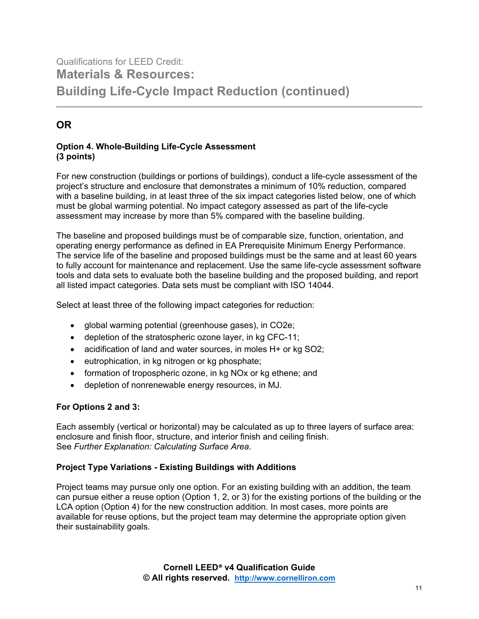## Qualifications for LEED Credit: **Materials & Resources: Building Life-Cycle Impact Reduction (continued)**

## **OR**

#### **Option 4. Whole-Building Life-Cycle Assessment (3 points)**

For new construction (buildings or portions of buildings), conduct a life-cycle assessment of the project's structure and enclosure that demonstrates a minimum of 10% reduction, compared with a baseline building, in at least three of the six impact categories listed below, one of which must be global warming potential. No impact category assessed as part of the life-cycle assessment may increase by more than 5% compared with the baseline building.

The baseline and proposed buildings must be of comparable size, function, orientation, and operating energy performance as defined in EA Prerequisite Minimum Energy Performance. The service life of the baseline and proposed buildings must be the same and at least 60 years to fully account for maintenance and replacement. Use the same life-cycle assessment software tools and data sets to evaluate both the baseline building and the proposed building, and report all listed impact categories. Data sets must be compliant with ISO 14044.

Select at least three of the following impact categories for reduction:

- global warming potential (greenhouse gases), in CO2e;
- depletion of the stratospheric ozone layer, in kg CFC-11;
- acidification of land and water sources, in moles H+ or kg SO2;
- eutrophication, in kg nitrogen or kg phosphate;
- formation of tropospheric ozone, in kg NOx or kg ethene; and
- depletion of nonrenewable energy resources, in MJ.

#### **For Options 2 and 3:**

Each assembly (vertical or horizontal) may be calculated as up to three layers of surface area: enclosure and finish floor, structure, and interior finish and ceiling finish. See *Further Explanation: Calculating Surface Area*.

#### **Project Type Variations - Existing Buildings with Additions**

Project teams may pursue only one option. For an existing building with an addition, the team can pursue either a reuse option (Option 1, 2, or 3) for the existing portions of the building or the LCA option (Option 4) for the new construction addition. In most cases, more points are available for reuse options, but the project team may determine the appropriate option given their sustainability goals.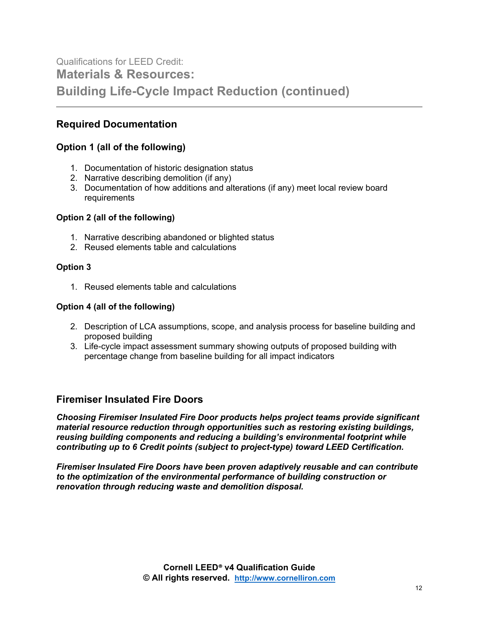## Qualifications for LEED Credit: **Materials & Resources: Building Life-Cycle Impact Reduction (continued)**

### **Required Documentation**

#### **Option 1 (all of the following)**

- 1. Documentation of historic designation status
- 2. Narrative describing demolition (if any)
- 3. Documentation of how additions and alterations (if any) meet local review board requirements

#### **Option 2 (all of the following)**

- 1. Narrative describing abandoned or blighted status
- 2. Reused elements table and calculations

#### **Option 3**

1. Reused elements table and calculations

#### **Option 4 (all of the following)**

- 2. Description of LCA assumptions, scope, and analysis process for baseline building and proposed building
- 3. Life-cycle impact assessment summary showing outputs of proposed building with percentage change from baseline building for all impact indicators

#### **Firemiser Insulated Fire Doors**

*Choosing Firemiser Insulated Fire Door products helps project teams provide significant material resource reduction through opportunities such as restoring existing buildings, reusing building components and reducing a building's environmental footprint while contributing up to 6 Credit points (subject to project-type) toward LEED Certification.*

*Firemiser Insulated Fire Doors have been proven adaptively reusable and can contribute to the optimization of the environmental performance of building construction or renovation through reducing waste and demolition disposal.*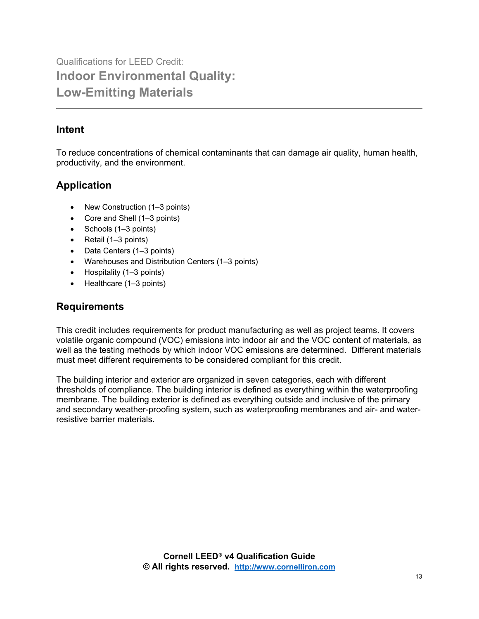Qualifications for LEED Credit: **Indoor Environmental Quality: Low-Emitting Materials** 

## **Intent**

To reduce concentrations of chemical contaminants that can damage air quality, human health, productivity, and the environment.

## **Application**

- New Construction (1–3 points)
- Core and Shell (1–3 points)
- Schools (1–3 points)
- Retail (1–3 points)
- Data Centers (1–3 points)
- Warehouses and Distribution Centers (1–3 points)
- Hospitality (1–3 points)
- Healthcare (1–3 points)

## **Requirements**

This credit includes requirements for product manufacturing as well as project teams. It covers volatile organic compound (VOC) emissions into indoor air and the VOC content of materials, as well as the testing methods by which indoor VOC emissions are determined. Different materials must meet different requirements to be considered compliant for this credit.

The building interior and exterior are organized in seven categories, each with different thresholds of compliance. The building interior is defined as everything within the waterproofing membrane. The building exterior is defined as everything outside and inclusive of the primary and secondary weather-proofing system, such as waterproofing membranes and air- and waterresistive barrier materials.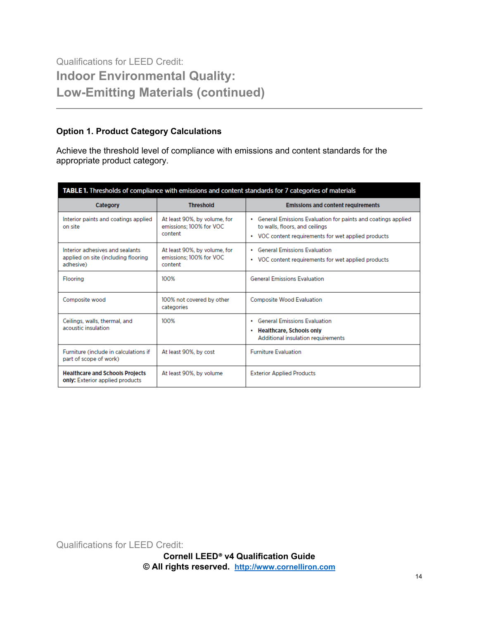## Qualifications for LEED Credit: **Indoor Environmental Quality: Low-Emitting Materials (continued)**

#### **Option 1. Product Category Calculations**

Achieve the threshold level of compliance with emissions and content standards for the appropriate product category.

| TABLE 1. Thresholds of compliance with emissions and content standards for 7 categories of materials |                                                                    |                                                                                                                                                         |  |
|------------------------------------------------------------------------------------------------------|--------------------------------------------------------------------|---------------------------------------------------------------------------------------------------------------------------------------------------------|--|
| <b>Category</b>                                                                                      | <b>Threshold</b>                                                   | <b>Emissions and content requirements</b>                                                                                                               |  |
| Interior paints and coatings applied<br>on site                                                      | At least 90%, by volume, for<br>emissions; 100% for VOC<br>content | • General Emissions Evaluation for paints and coatings applied<br>to walls, floors, and ceilings<br>• VOC content requirements for wet applied products |  |
| Interior adhesives and sealants<br>applied on site (including flooring<br>adhesive)                  | At least 90%, by volume, for<br>emissions; 100% for VOC<br>content | <b>General Emissions Evaluation</b><br>٠<br>• VOC content requirements for wet applied products                                                         |  |
| <b>Flooring</b>                                                                                      | 100%                                                               | <b>General Emissions Evaluation</b>                                                                                                                     |  |
| Composite wood                                                                                       | 100% not covered by other<br>categories                            | <b>Composite Wood Evaluation</b>                                                                                                                        |  |
| Ceilings, walls, thermal, and<br>acoustic insulation.                                                | 100%                                                               | • General Emissions Evaluation<br>• Healthcare, Schools only<br>Additional insulation requirements                                                      |  |
| Furniture (include in calculations if<br>part of scope of work)                                      | At least 90%, by cost                                              | <b>Furniture Evaluation</b>                                                                                                                             |  |
| <b>Healthcare and Schools Projects</b><br>only: Exterior applied products                            | At least 90%, by volume                                            | <b>Exterior Applied Products</b>                                                                                                                        |  |

Qualifications for LEED Credit: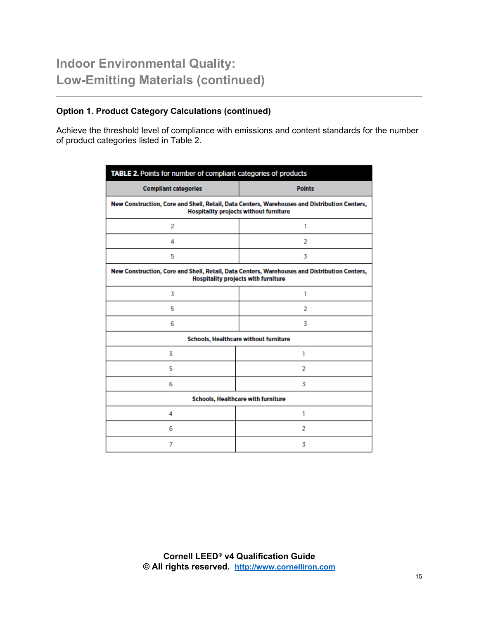#### **Option 1. Product Category Calculations (continued)**

Achieve the threshold level of compliance with emissions and content standards for the number of product categories listed in Table 2.

| TABLE 2. Points for number of compliant categories of products                                                                                |                                       |  |
|-----------------------------------------------------------------------------------------------------------------------------------------------|---------------------------------------|--|
| <b>Compliant categories</b>                                                                                                                   | <b>Points</b>                         |  |
| New Construction, Core and Shell, Retail, Data Centers, Warehouses and Distribution Centers,<br><b>Hospitality projects without furniture</b> |                                       |  |
| 2                                                                                                                                             | 1                                     |  |
| 4                                                                                                                                             | 2                                     |  |
| 5                                                                                                                                             | 3                                     |  |
| New Construction, Core and Shell, Retail, Data Centers, Warehouses and Distribution Centers,<br>Hospitality projects with furniture           |                                       |  |
| 3                                                                                                                                             | 1                                     |  |
| 5                                                                                                                                             | 2                                     |  |
| 6                                                                                                                                             | 3                                     |  |
|                                                                                                                                               | Schools, Healthcare without furniture |  |
| 3                                                                                                                                             | 1                                     |  |
| 5                                                                                                                                             | 2                                     |  |
| 6                                                                                                                                             | 3                                     |  |
| Schools, Healthcare with furniture                                                                                                            |                                       |  |
| 4                                                                                                                                             | 1                                     |  |
| 6                                                                                                                                             | 2                                     |  |
| 7                                                                                                                                             | 3                                     |  |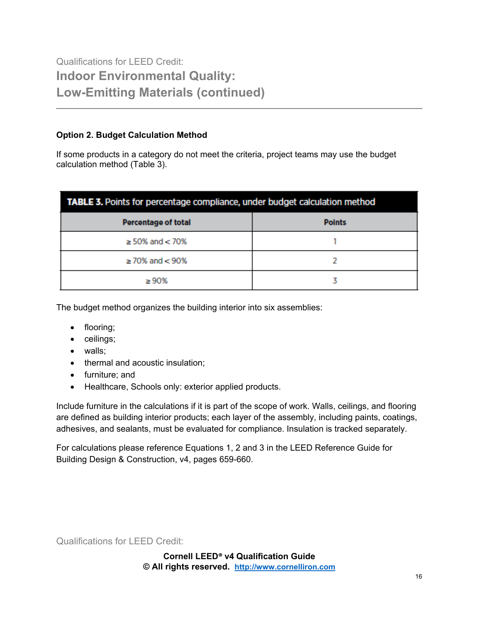## Qualifications for LEED Credit: **Indoor Environmental Quality: Low-Emitting Materials (continued)**

#### **Option 2. Budget Calculation Method**

If some products in a category do not meet the criteria, project teams may use the budget calculation method (Table 3).

| TABLE 3. Points for percentage compliance, under budget calculation method |               |  |
|----------------------------------------------------------------------------|---------------|--|
| <b>Percentage of total</b>                                                 | <b>Points</b> |  |
| $\geq$ 50% and $<$ 70%                                                     |               |  |
| $\geq$ 70% and $<$ 90%                                                     |               |  |
| >90%                                                                       |               |  |

The budget method organizes the building interior into six assemblies:

- flooring;
- ceilings;
- walls;
- thermal and acoustic insulation;
- furniture; and
- Healthcare, Schools only: exterior applied products.

Include furniture in the calculations if it is part of the scope of work. Walls, ceilings, and flooring are defined as building interior products; each layer of the assembly, including paints, coatings, adhesives, and sealants, must be evaluated for compliance. Insulation is tracked separately.

For calculations please reference Equations 1, 2 and 3 in the LEED Reference Guide for Building Design & Construction, v4, pages 659-660.

Qualifications for LEED Credit:

**Cornell LEED® v4 Qualification Guide © All rights reserved. [http://www.cornelliron.com](http://www.cornelliron.com/)**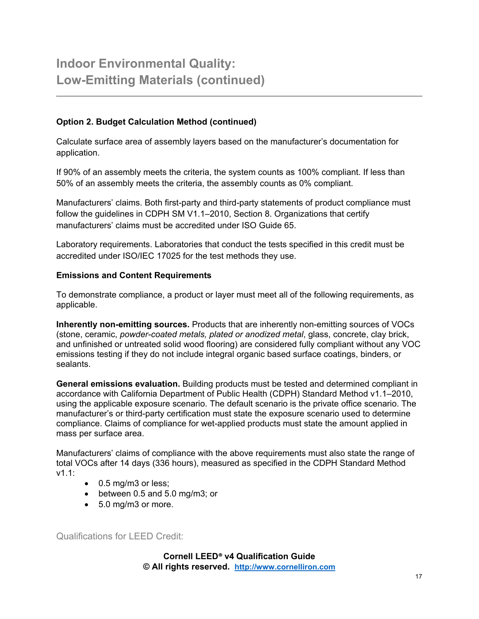#### **Option 2. Budget Calculation Method (continued)**

Calculate surface area of assembly layers based on the manufacturer's documentation for application.

If 90% of an assembly meets the criteria, the system counts as 100% compliant. If less than 50% of an assembly meets the criteria, the assembly counts as 0% compliant.

Manufacturers' claims. Both first-party and third-party statements of product compliance must follow the guidelines in CDPH SM V1.1–2010, Section 8. Organizations that certify manufacturers' claims must be accredited under ISO Guide 65.

Laboratory requirements. Laboratories that conduct the tests specified in this credit must be accredited under ISO/IEC 17025 for the test methods they use.

#### **Emissions and Content Requirements**

To demonstrate compliance, a product or layer must meet all of the following requirements, as applicable.

**Inherently non-emitting sources.** Products that are inherently non-emitting sources of VOCs (stone, ceramic, *powder-coated metals, plated or anodized metal*, glass, concrete, clay brick, and unfinished or untreated solid wood flooring) are considered fully compliant without any VOC emissions testing if they do not include integral organic based surface coatings, binders, or sealants.

**General emissions evaluation.** Building products must be tested and determined compliant in accordance with California Department of Public Health (CDPH) Standard Method v1.1–2010, using the applicable exposure scenario. The default scenario is the private office scenario. The manufacturer's or third-party certification must state the exposure scenario used to determine compliance. Claims of compliance for wet-applied products must state the amount applied in mass per surface area.

Manufacturers' claims of compliance with the above requirements must also state the range of total VOCs after 14 days (336 hours), measured as specified in the CDPH Standard Method v1.1:

- 0.5 mg/m3 or less;
- between 0.5 and 5.0 mg/m3; or
- 5.0 mg/m3 or more.

Qualifications for LEED Credit:

**Cornell LEED® v4 Qualification Guide © All rights reserved. [http://www.cornelliron.com](http://www.cornelliron.com/)**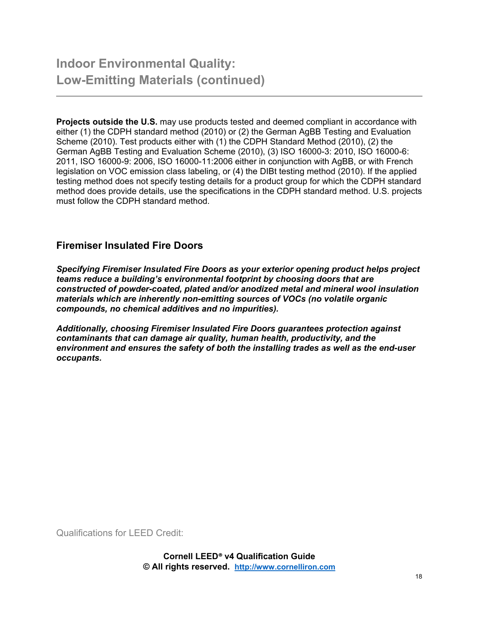**Projects outside the U.S.** may use products tested and deemed compliant in accordance with either (1) the CDPH standard method (2010) or (2) the German AgBB Testing and Evaluation Scheme (2010). Test products either with (1) the CDPH Standard Method (2010), (2) the German AgBB Testing and Evaluation Scheme (2010), (3) ISO 16000-3: 2010, ISO 16000-6: 2011, ISO 16000-9: 2006, ISO 16000-11:2006 either in conjunction with AgBB, or with French legislation on VOC emission class labeling, or (4) the DIBt testing method (2010). If the applied testing method does not specify testing details for a product group for which the CDPH standard method does provide details, use the specifications in the CDPH standard method. U.S. projects must follow the CDPH standard method.

#### **Firemiser Insulated Fire Doors**

*Specifying Firemiser Insulated Fire Doors as your exterior opening product helps project teams reduce a building's environmental footprint by choosing doors that are constructed of powder-coated, plated and/or anodized metal and mineral wool insulation materials which are inherently non-emitting sources of VOCs (no volatile organic compounds, no chemical additives and no impurities).*

*Additionally, choosing Firemiser Insulated Fire Doors guarantees protection against contaminants that can damage air quality, human health, productivity, and the environment and ensures the safety of both the installing trades as well as the end-user occupants.* 

Qualifications for LEED Credit: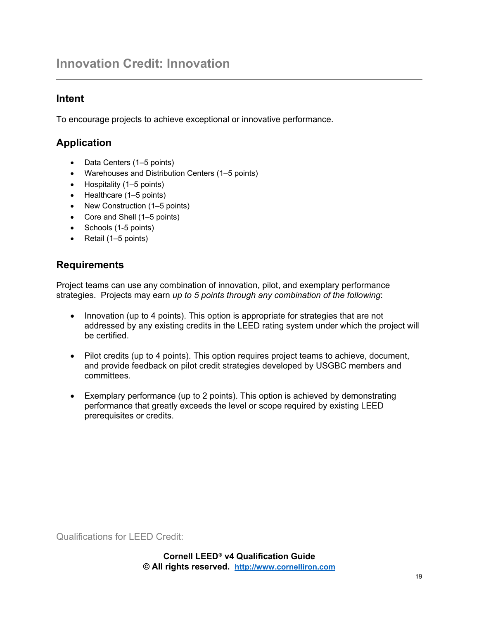## **Innovation Credit: Innovation**

### **Intent**

To encourage projects to achieve exceptional or innovative performance.

## **Application**

- Data Centers (1–5 points)
- Warehouses and Distribution Centers (1–5 points)
- Hospitality (1–5 points)
- Healthcare (1–5 points)
- New Construction (1–5 points)
- Core and Shell (1–5 points)
- Schools (1-5 points)
- Retail (1–5 points)

### **Requirements**

Project teams can use any combination of innovation, pilot, and exemplary performance strategies. Projects may earn *up to 5 points through any combination of the following*:

- Innovation (up to 4 points). This option is appropriate for strategies that are not addressed by any existing credits in the LEED rating system under which the project will be certified.
- Pilot credits (up to 4 points). This option requires project teams to achieve, document, and provide feedback on pilot credit strategies developed by USGBC members and committees.
- Exemplary performance (up to 2 points). This option is achieved by demonstrating performance that greatly exceeds the level or scope required by existing LEED prerequisites or credits.

Qualifications for LEED Credit: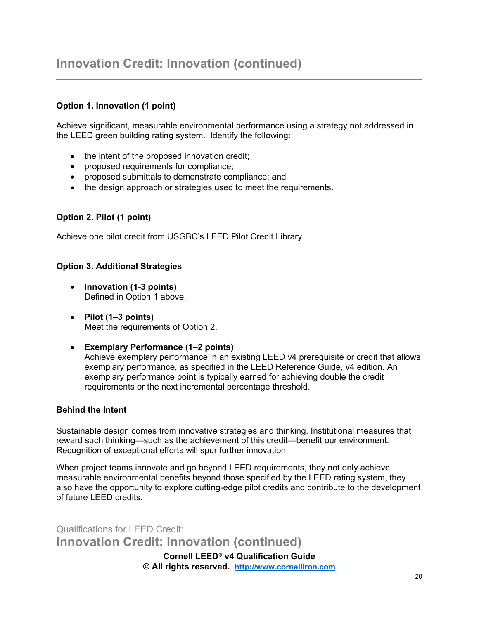#### **Option 1. Innovation (1 point)**

Achieve significant, measurable environmental performance using a strategy not addressed in the LEED green building rating system. Identify the following:

- the intent of the proposed innovation credit;
- proposed requirements for compliance;
- proposed submittals to demonstrate compliance; and
- the design approach or strategies used to meet the requirements.

#### **Option 2. Pilot (1 point)**

Achieve one pilot credit from USGBC's LEED Pilot Credit Library

#### **Option 3. Additional Strategies**

- **Innovation (1-3 points)**  Defined in Option 1 above.
- **Pilot (1–3 points)**  Meet the requirements of Option 2.
- **Exemplary Performance (1–2 points)** Achieve exemplary performance in an existing LEED v4 prerequisite or credit that allows exemplary performance, as specified in the LEED Reference Guide, v4 edition. An exemplary performance point is typically earned for achieving double the credit requirements or the next incremental percentage threshold.

#### **Behind the Intent**

Sustainable design comes from innovative strategies and thinking. Institutional measures that reward such thinking—such as the achievement of this credit—benefit our environment. Recognition of exceptional efforts will spur further innovation.

When project teams innovate and go beyond LEED requirements, they not only achieve measurable environmental benefits beyond those specified by the LEED rating system, they also have the opportunity to explore cutting-edge pilot credits and contribute to the development of future LEED credits.

**Cornell LEED® v4 Qualification Guide** Qualifications for LEED Credit: **Innovation Credit: Innovation (continued)** 

**© All rights reserved. [http://www.cornelliron.com](http://www.cornelliron.com/)**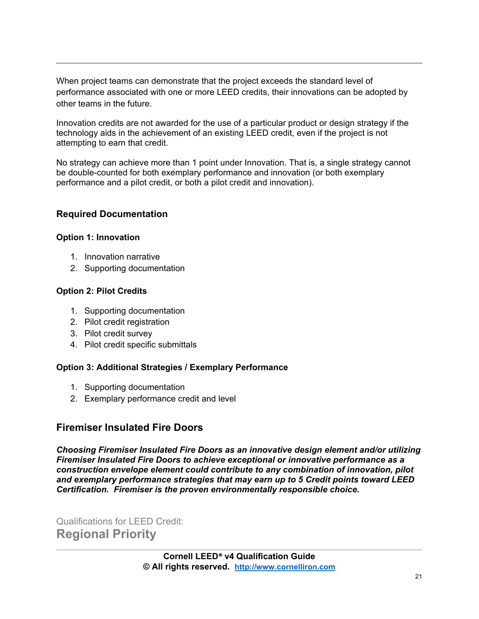When project teams can demonstrate that the project exceeds the standard level of performance associated with one or more LEED credits, their innovations can be adopted by other teams in the future.

Innovation credits are not awarded for the use of a particular product or design strategy if the technology aids in the achievement of an existing LEED credit, even if the project is not attempting to earn that credit.

No strategy can achieve more than 1 point under Innovation. That is, a single strategy cannot be double-counted for both exemplary performance and innovation (or both exemplary performance and a pilot credit, or both a pilot credit and innovation).

#### **Required Documentation**

#### **Option 1: Innovation**

- 1. Innovation narrative
- 2. Supporting documentation

#### **Option 2: Pilot Credits**

- 1. Supporting documentation
- 2. Pilot credit registration
- 3. Pilot credit survey
- 4. Pilot credit specific submittals

#### **Option 3: Additional Strategies / Exemplary Performance**

- 1. Supporting documentation
- 2. Exemplary performance credit and level

### **Firemiser Insulated Fire Doors**

*Choosing Firemiser Insulated Fire Doors as an innovative design element and/or utilizing Firemiser Insulated Fire Doors to achieve exceptional or innovative performance as a construction envelope element could contribute to any combination of innovation, pilot and exemplary performance strategies that may earn up to 5 Credit points toward LEED Certification. Firemiser is the proven environmentally responsible choice.* 

Qualifications for LEED Credit: **Regional Priority**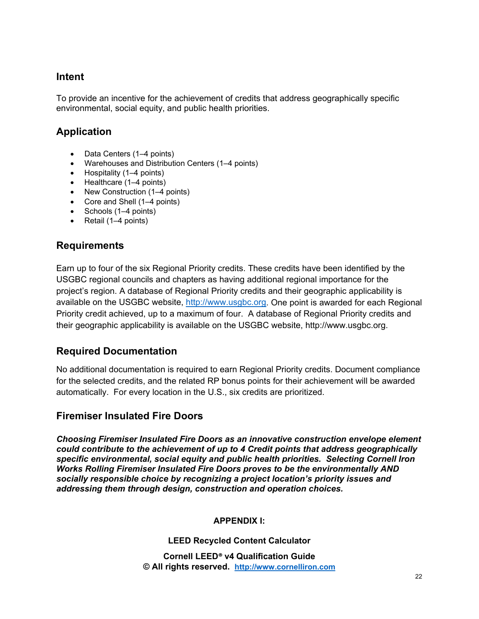#### **Intent**

To provide an incentive for the achievement of credits that address geographically specific environmental, social equity, and public health priorities.

## **Application**

- Data Centers (1–4 points)
- Warehouses and Distribution Centers (1–4 points)
- Hospitality (1–4 points)
- Healthcare (1–4 points)
- New Construction (1–4 points)
- Core and Shell (1–4 points)
- Schools (1–4 points)
- Retail (1–4 points)

#### **Requirements**

Earn up to four of the six Regional Priority credits. These credits have been identified by the USGBC regional councils and chapters as having additional regional importance for the project's region. A database of Regional Priority credits and their geographic applicability is available on the USGBC website, [http://www.usgbc.org.](http://www.usgbc.org/) One point is awarded for each Regional Priority credit achieved, up to a maximum of four. A database of Regional Priority credits and their geographic applicability is available on the USGBC website, http://www.usgbc.org.

### **Required Documentation**

No additional documentation is required to earn Regional Priority credits. Document compliance for the selected credits, and the related RP bonus points for their achievement will be awarded automatically. For every location in the U.S., six credits are prioritized.

### **Firemiser Insulated Fire Doors**

*Choosing Firemiser Insulated Fire Doors as an innovative construction envelope element could contribute to the achievement of up to 4 Credit points that address geographically specific environmental, social equity and public health priorities. Selecting Cornell Iron Works Rolling Firemiser Insulated Fire Doors proves to be the environmentally AND socially responsible choice by recognizing a project location's priority issues and addressing them through design, construction and operation choices.*

#### **APPENDIX I:**

#### **LEED Recycled Content Calculator**

**Cornell LEED® v4 Qualification Guide © All rights reserved. [http://www.cornelliron.com](http://www.cornelliron.com/)**